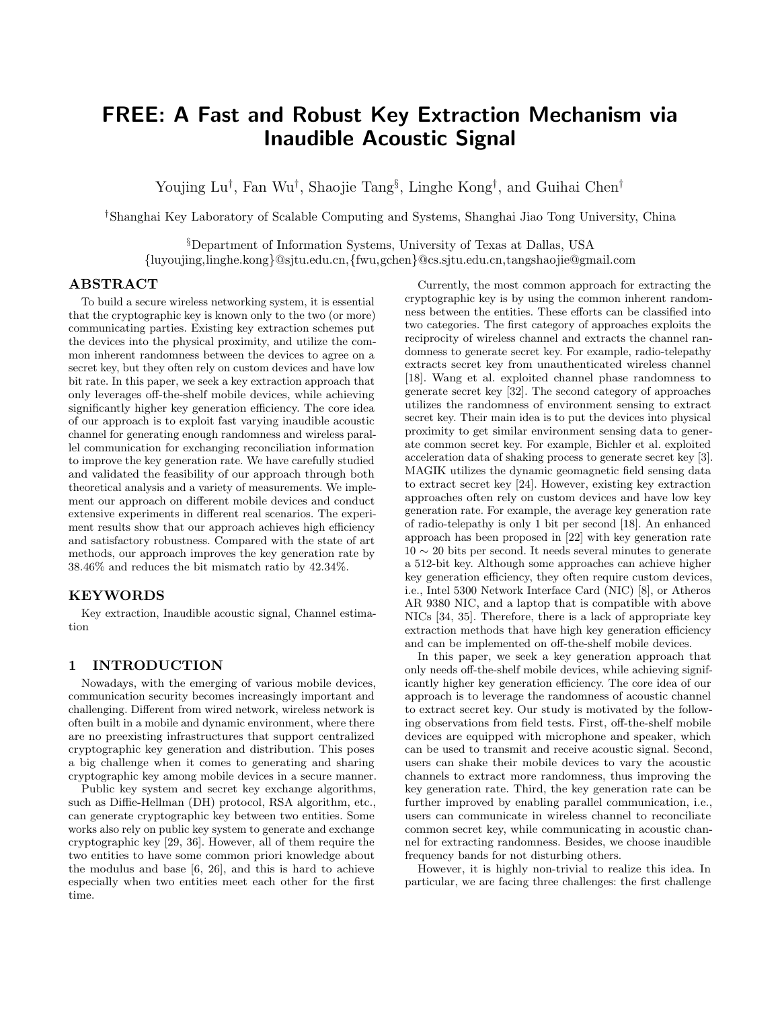# FREE: A Fast and Robust Key Extraction Mechanism via Inaudible Acoustic Signal

Youjing Lu<sup>†</sup>, Fan Wu<sup>†</sup>, Shaojie Tang<sup>§</sup>, Linghe Kong<sup>†</sup>, and Guihai Chen<sup>†</sup>

†Shanghai Key Laboratory of Scalable Computing and Systems, Shanghai Jiao Tong University, China

<sup>S</sup>Department of Information Systems, University of Texas at Dallas, USA {luyoujing,linghe.kong}@sjtu.edu.cn,{fwu,gchen}@cs.sjtu.edu.cn,tangshaojie@gmail.com

## ABSTRACT

To build a secure wireless networking system, it is essential that the cryptographic key is known only to the two (or more) communicating parties. Existing key extraction schemes put the devices into the physical proximity, and utilize the common inherent randomness between the devices to agree on a secret key, but they often rely on custom devices and have low bit rate. In this paper, we seek a key extraction approach that only leverages off-the-shelf mobile devices, while achieving significantly higher key generation efficiency. The core idea of our approach is to exploit fast varying inaudible acoustic channel for generating enough randomness and wireless parallel communication for exchanging reconciliation information to improve the key generation rate. We have carefully studied and validated the feasibility of our approach through both theoretical analysis and a variety of measurements. We implement our approach on different mobile devices and conduct extensive experiments in different real scenarios. The experiment results show that our approach achieves high efficiency and satisfactory robustness. Compared with the state of art methods, our approach improves the key generation rate by 38.46% and reduces the bit mismatch ratio by 42.34%.

## KEYWORDS

Key extraction, Inaudible acoustic signal, Channel estimation

## 1 INTRODUCTION

Nowadays, with the emerging of various mobile devices, communication security becomes increasingly important and challenging. Different from wired network, wireless network is often built in a mobile and dynamic environment, where there are no preexisting infrastructures that support centralized cryptographic key generation and distribution. This poses a big challenge when it comes to generating and sharing cryptographic key among mobile devices in a secure manner.

Public key system and secret key exchange algorithms, such as Diffie-Hellman (DH) protocol, RSA algorithm, etc., can generate cryptographic key between two entities. Some works also rely on public key system to generate and exchange cryptographic key [\[29,](#page-9-0) [36\]](#page-9-1). However, all of them require the two entities to have some common priori knowledge about the modulus and base [\[6,](#page-9-2) [26\]](#page-9-3), and this is hard to achieve especially when two entities meet each other for the first time.

Currently, the most common approach for extracting the cryptographic key is by using the common inherent randomness between the entities. These efforts can be classified into two categories. The first category of approaches exploits the reciprocity of wireless channel and extracts the channel randomness to generate secret key. For example, radio-telepathy extracts secret key from unauthenticated wireless channel [\[18\]](#page-9-4). Wang et al. exploited channel phase randomness to generate secret key [\[32\]](#page-9-5). The second category of approaches utilizes the randomness of environment sensing to extract secret key. Their main idea is to put the devices into physical proximity to get similar environment sensing data to generate common secret key. For example, Bichler et al. exploited acceleration data of shaking process to generate secret key [\[3\]](#page-9-6). MAGIK utilizes the dynamic geomagnetic field sensing data to extract secret key [\[24\]](#page-9-7). However, existing key extraction approaches often rely on custom devices and have low key generation rate. For example, the average key generation rate of radio-telepathy is only 1 bit per second [\[18\]](#page-9-4). An enhanced approach has been proposed in [\[22\]](#page-9-8) with key generation rate  $10 \sim 20$  bits per second. It needs several minutes to generate a 512-bit key. Although some approaches can achieve higher key generation efficiency, they often require custom devices, i.e., Intel 5300 Network Interface Card (NIC) [\[8\]](#page-9-9), or Atheros AR 9380 NIC, and a laptop that is compatible with above NICs [\[34,](#page-9-10) [35\]](#page-9-11). Therefore, there is a lack of appropriate key extraction methods that have high key generation efficiency and can be implemented on off-the-shelf mobile devices.

In this paper, we seek a key generation approach that only needs off-the-shelf mobile devices, while achieving significantly higher key generation efficiency. The core idea of our approach is to leverage the randomness of acoustic channel to extract secret key. Our study is motivated by the following observations from field tests. First, off-the-shelf mobile devices are equipped with microphone and speaker, which can be used to transmit and receive acoustic signal. Second, users can shake their mobile devices to vary the acoustic channels to extract more randomness, thus improving the key generation rate. Third, the key generation rate can be further improved by enabling parallel communication, i.e., users can communicate in wireless channel to reconciliate common secret key, while communicating in acoustic channel for extracting randomness. Besides, we choose inaudible frequency bands for not disturbing others.

However, it is highly non-trivial to realize this idea. In particular, we are facing three challenges: the first challenge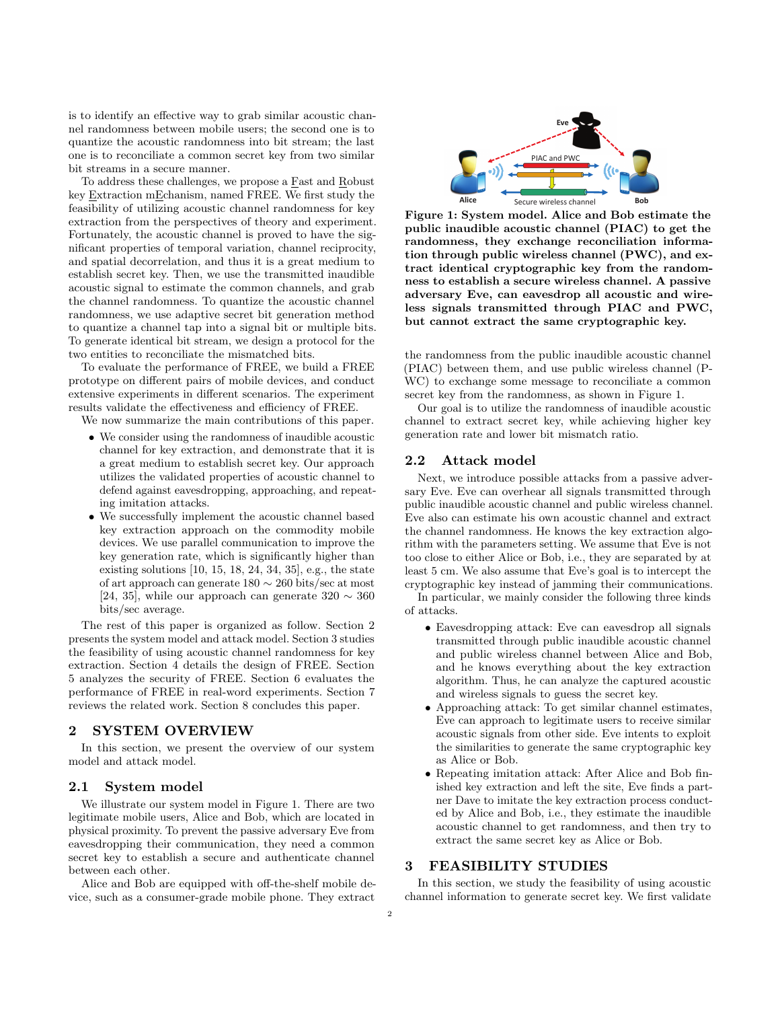is to identify an effective way to grab similar acoustic channel randomness between mobile users; the second one is to quantize the acoustic randomness into bit stream; the last one is to reconciliate a common secret key from two similar bit streams in a secure manner.

To address these challenges, we propose a Fast and Robust key Extraction mEchanism, named FREE. We first study the feasibility of utilizing acoustic channel randomness for key extraction from the perspectives of theory and experiment. Fortunately, the acoustic channel is proved to have the significant properties of temporal variation, channel reciprocity, and spatial decorrelation, and thus it is a great medium to establish secret key. Then, we use the transmitted inaudible acoustic signal to estimate the common channels, and grab the channel randomness. To quantize the acoustic channel randomness, we use adaptive secret bit generation method to quantize a channel tap into a signal bit or multiple bits. To generate identical bit stream, we design a protocol for the two entities to reconciliate the mismatched bits.

To evaluate the performance of FREE, we build a FREE prototype on different pairs of mobile devices, and conduct extensive experiments in different scenarios. The experiment results validate the effectiveness and efficiency of FREE.

We now summarize the main contributions of this paper.

- ∙ We consider using the randomness of inaudible acoustic channel for key extraction, and demonstrate that it is a great medium to establish secret key. Our approach utilizes the validated properties of acoustic channel to defend against eavesdropping, approaching, and repeating imitation attacks.
- ∙ We successfully implement the acoustic channel based key extraction approach on the commodity mobile devices. We use parallel communication to improve the key generation rate, which is significantly higher than existing solutions [\[10,](#page-9-12) [15,](#page-9-13) [18,](#page-9-4) [24,](#page-9-7) [34,](#page-9-10) [35\]](#page-9-11), e.g., the state of art approach can generate 180 ∼ 260 bits/sec at most [\[24,](#page-9-7) [35\]](#page-9-11), while our approach can generate  $320 \sim 360$ bits/sec average.

The rest of this paper is organized as follow. Section 2 presents the system model and attack model. Section 3 studies the feasibility of using acoustic channel randomness for key extraction. Section 4 details the design of FREE. Section 5 analyzes the security of FREE. Section 6 evaluates the performance of FREE in real-word experiments. Section 7 reviews the related work. Section 8 concludes this paper.

#### 2 SYSTEM OVERVIEW

In this section, we present the overview of our system model and attack model.

### 2.1 System model

We illustrate our system model in Figure 1. There are two legitimate mobile users, Alice and Bob, which are located in physical proximity. To prevent the passive adversary Eve from eavesdropping their communication, they need a common secret key to establish a secure and authenticate channel between each other.

Alice and Bob are equipped with off-the-shelf mobile device, such as a consumer-grade mobile phone. They extract



Figure 1: System model. Alice and Bob estimate the public inaudible acoustic channel (PIAC) to get the randomness, they exchange reconciliation information through public wireless channel (PWC), and extract identical cryptographic key from the randomness to establish a secure wireless channel. A passive adversary Eve, can eavesdrop all acoustic and wireless signals transmitted through PIAC and PWC, but cannot extract the same cryptographic key.

the randomness from the public inaudible acoustic channel (PIAC) between them, and use public wireless channel (P-WC) to exchange some message to reconciliate a common secret key from the randomness, as shown in Figure 1.

Our goal is to utilize the randomness of inaudible acoustic channel to extract secret key, while achieving higher key generation rate and lower bit mismatch ratio.

## 2.2 Attack model

Next, we introduce possible attacks from a passive adversary Eve. Eve can overhear all signals transmitted through public inaudible acoustic channel and public wireless channel. Eve also can estimate his own acoustic channel and extract the channel randomness. He knows the key extraction algorithm with the parameters setting. We assume that Eve is not too close to either Alice or Bob, i.e., they are separated by at least 5 cm. We also assume that Eve's goal is to intercept the cryptographic key instead of jamming their communications. In particular, we mainly consider the following three kinds

of attacks.

- ∙ Eavesdropping attack: Eve can eavesdrop all signals transmitted through public inaudible acoustic channel and public wireless channel between Alice and Bob, and he knows everything about the key extraction algorithm. Thus, he can analyze the captured acoustic and wireless signals to guess the secret key.
- ∙ Approaching attack: To get similar channel estimates, Eve can approach to legitimate users to receive similar acoustic signals from other side. Eve intents to exploit the similarities to generate the same cryptographic key as Alice or Bob.
- ∙ Repeating imitation attack: After Alice and Bob finished key extraction and left the site, Eve finds a partner Dave to imitate the key extraction process conducted by Alice and Bob, i.e., they estimate the inaudible acoustic channel to get randomness, and then try to extract the same secret key as Alice or Bob.

## 3 FEASIBILITY STUDIES

In this section, we study the feasibility of using acoustic channel information to generate secret key. We first validate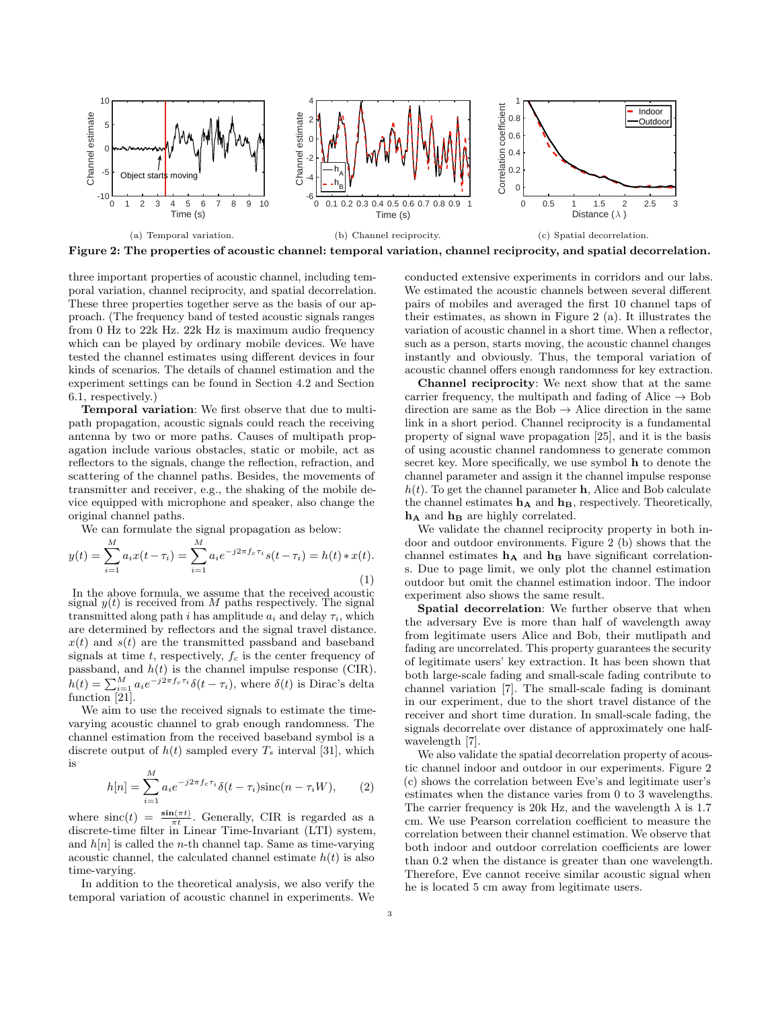

three important properties of acoustic channel, including temporal variation, channel reciprocity, and spatial decorrelation. These three properties together serve as the basis of our approach. (The frequency band of tested acoustic signals ranges from 0 Hz to 22k Hz. 22k Hz is maximum audio frequency which can be played by ordinary mobile devices. We have tested the channel estimates using different devices in four kinds of scenarios. The details of channel estimation and the experiment settings can be found in Section 4.2 and Section 6.1, respectively.)

Temporal variation: We first observe that due to multipath propagation, acoustic signals could reach the receiving antenna by two or more paths. Causes of multipath propagation include various obstacles, static or mobile, act as reflectors to the signals, change the reflection, refraction, and scattering of the channel paths. Besides, the movements of transmitter and receiver, e.g., the shaking of the mobile device equipped with microphone and speaker, also change the original channel paths.

We can formulate the signal propagation as below:

$$
y(t) = \sum_{i=1}^{M} a_i x(t - \tau_i) = \sum_{i=1}^{M} a_i e^{-j2\pi f_c \tau_i} s(t - \tau_i) = h(t) * x(t).
$$
\n(1)

In the above formula, we assume that the received acoustic signal  $y(t)$  is received from  $M$  paths respectively. The signal transmitted along path *i* has amplitude  $a_i$  and delay  $\tau_i$ , which are determined by reflectors and the signal travel distance.  $x(t)$  and  $s(t)$  are the transmitted passband and baseband signals at time  $t$ , respectively,  $f_c$  is the center frequency of passband, and  $h(t)$  is the channel impulse response (CIR).  $h(t) = \sum_{i=1}^{M} a_i e^{-j2\pi f_c \tau_i} \delta(t - \tau_i)$ , where  $\delta(t)$  is Dirac's delta function [\[21\]](#page-9-14).

We aim to use the received signals to estimate the timevarying acoustic channel to grab enough randomness. The channel estimation from the received baseband symbol is a discrete output of  $h(t)$  sampled every  $T_s$  interval [\[31\]](#page-9-15), which is

$$
h[n] = \sum_{i=1}^{M} a_i e^{-j2\pi f_c \tau_i} \delta(t - \tau_i) \operatorname{sinc}(n - \tau_i W), \qquad (2)
$$

where  $\text{sinc}(t) = \frac{\sin(\pi t)}{\pi t}$ . Generally, CIR is regarded as a discrete-time filter in Linear Time-Invariant (LTI) system, and  $h[n]$  is called the *n*-th channel tap. Same as time-varying acoustic channel, the calculated channel estimate  $h(t)$  is also time-varying.

In addition to the theoretical analysis, we also verify the temporal variation of acoustic channel in experiments. We conducted extensive experiments in corridors and our labs. We estimated the acoustic channels between several different pairs of mobiles and averaged the first 10 channel taps of their estimates, as shown in Figure 2 (a). It illustrates the variation of acoustic channel in a short time. When a reflector, such as a person, starts moving, the acoustic channel changes instantly and obviously. Thus, the temporal variation of acoustic channel offers enough randomness for key extraction.

Channel reciprocity: We next show that at the same carrier frequency, the multipath and fading of Alice  $\rightarrow$  Bob direction are same as the Bob  $\rightarrow$  Alice direction in the same link in a short period. Channel reciprocity is a fundamental property of signal wave propagation [\[25\]](#page-9-16), and it is the basis of using acoustic channel randomness to generate common secret key. More specifically, we use symbol h to denote the channel parameter and assign it the channel impulse response  $h(t)$ . To get the channel parameter **h**, Alice and Bob calculate the channel estimates  $\mathbf{h}_{\mathbf{A}}$  and  $\mathbf{h}_{\mathbf{B}}$ , respectively. Theoretically,  $h_A$  and  $h_B$  are highly correlated.

We validate the channel reciprocity property in both indoor and outdoor environments. Figure 2 (b) shows that the channel estimates  $h_A$  and  $h_B$  have significant correlations. Due to page limit, we only plot the channel estimation outdoor but omit the channel estimation indoor. The indoor experiment also shows the same result.

Spatial decorrelation: We further observe that when the adversary Eve is more than half of wavelength away from legitimate users Alice and Bob, their mutlipath and fading are uncorrelated. This property guarantees the security of legitimate users' key extraction. It has been shown that both large-scale fading and small-scale fading contribute to channel variation [\[7\]](#page-9-17). The small-scale fading is dominant in our experiment, due to the short travel distance of the receiver and short time duration. In small-scale fading, the signals decorrelate over distance of approximately one halfwavelength [\[7\]](#page-9-17).

We also validate the spatial decorrelation property of acoustic channel indoor and outdoor in our experiments. Figure 2 (c) shows the correlation between Eve's and legitimate user's estimates when the distance varies from 0 to 3 wavelengths. The carrier frequency is 20k Hz, and the wavelength  $\lambda$  is 1.7 cm. We use Pearson correlation coefficient to measure the correlation between their channel estimation. We observe that both indoor and outdoor correlation coefficients are lower than 0.2 when the distance is greater than one wavelength. Therefore, Eve cannot receive similar acoustic signal when he is located 5 cm away from legitimate users.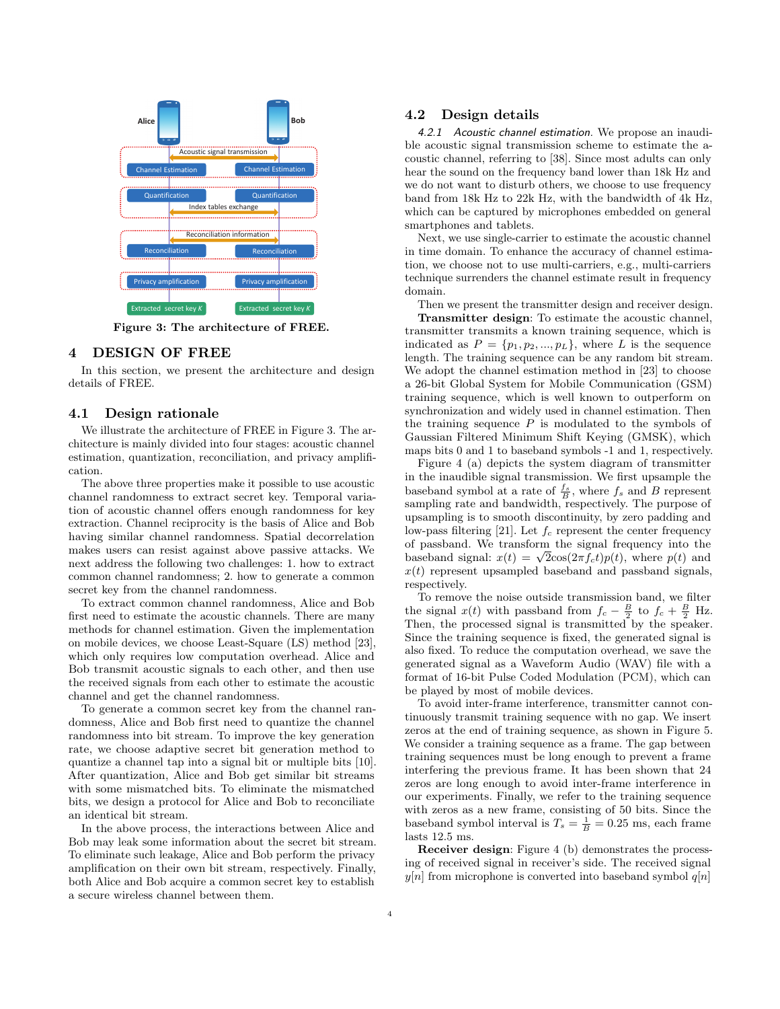

Figure 3: The architecture of FREE.

#### 4 DESIGN OF FREE

In this section, we present the architecture and design details of FREE.

#### 4.1 Design rationale

We illustrate the architecture of FREE in Figure 3. The architecture is mainly divided into four stages: acoustic channel estimation, quantization, reconciliation, and privacy amplification.

The above three properties make it possible to use acoustic channel randomness to extract secret key. Temporal variation of acoustic channel offers enough randomness for key extraction. Channel reciprocity is the basis of Alice and Bob having similar channel randomness. Spatial decorrelation makes users can resist against above passive attacks. We next address the following two challenges: 1. how to extract common channel randomness; 2. how to generate a common secret key from the channel randomness.

To extract common channel randomness, Alice and Bob first need to estimate the acoustic channels. There are many methods for channel estimation. Given the implementation on mobile devices, we choose Least-Square (LS) method [\[23\]](#page-9-18), which only requires low computation overhead. Alice and Bob transmit acoustic signals to each other, and then use the received signals from each other to estimate the acoustic channel and get the channel randomness.

To generate a common secret key from the channel randomness, Alice and Bob first need to quantize the channel randomness into bit stream. To improve the key generation rate, we choose adaptive secret bit generation method to quantize a channel tap into a signal bit or multiple bits [\[10\]](#page-9-12). After quantization, Alice and Bob get similar bit streams with some mismatched bits. To eliminate the mismatched bits, we design a protocol for Alice and Bob to reconciliate an identical bit stream.

In the above process, the interactions between Alice and Bob may leak some information about the secret bit stream. To eliminate such leakage, Alice and Bob perform the privacy amplification on their own bit stream, respectively. Finally, both Alice and Bob acquire a common secret key to establish a secure wireless channel between them.

#### 4.2 Design details

4.2.1 Acoustic channel estimation. We propose an inaudible acoustic signal transmission scheme to estimate the acoustic channel, referring to [\[38\]](#page-9-19). Since most adults can only hear the sound on the frequency band lower than 18k Hz and we do not want to disturb others, we choose to use frequency band from 18k Hz to 22k Hz, with the bandwidth of 4k Hz, which can be captured by microphones embedded on general smartphones and tablets.

Next, we use single-carrier to estimate the acoustic channel in time domain. To enhance the accuracy of channel estimation, we choose not to use multi-carriers, e.g., multi-carriers technique surrenders the channel estimate result in frequency domain.

Then we present the transmitter design and receiver design.

Transmitter design: To estimate the acoustic channel, transmitter transmits a known training sequence, which is indicated as  $P = \{p_1, p_2, ..., p_L\}$ , where L is the sequence length. The training sequence can be any random bit stream. We adopt the channel estimation method in [\[23\]](#page-9-18) to choose a 26-bit Global System for Mobile Communication (GSM) training sequence, which is well known to outperform on synchronization and widely used in channel estimation. Then the training sequence  $P$  is modulated to the symbols of Gaussian Filtered Minimum Shift Keying (GMSK), which maps bits 0 and 1 to baseband symbols -1 and 1, respectively.

Figure 4 (a) depicts the system diagram of transmitter in the inaudible signal transmission. We first upsample the baseband symbol at a rate of  $\frac{f_s}{B}$ , where  $f_s$  and B represent sampling rate and bandwidth, respectively. The purpose of upsampling is to smooth discontinuity, by zero padding and low-pass filtering [\[21\]](#page-9-14). Let  $f_c$  represent the center frequency of passband. We transform the signal frequency into the or passband. We transform the signal frequency into the baseband signal:  $x(t) = \sqrt{2}\cos(2\pi f_c t)p(t)$ , where  $p(t)$  and  $x(t)$  represent upsampled baseband and passband signals, respectively.

To remove the noise outside transmission band, we filter the signal  $x(t)$  with passband from  $f_c - \frac{B}{2}$  to  $f_c + \frac{B}{2}$  Hz. Then, the processed signal is transmitted by the speaker. Since the training sequence is fixed, the generated signal is also fixed. To reduce the computation overhead, we save the generated signal as a Waveform Audio (WAV) file with a format of 16-bit Pulse Coded Modulation (PCM), which can be played by most of mobile devices.

To avoid inter-frame interference, transmitter cannot continuously transmit training sequence with no gap. We insert zeros at the end of training sequence, as shown in Figure 5. We consider a training sequence as a frame. The gap between training sequences must be long enough to prevent a frame interfering the previous frame. It has been shown that 24 zeros are long enough to avoid inter-frame interference in our experiments. Finally, we refer to the training sequence with zeros as a new frame, consisting of 50 bits. Since the baseband symbol interval is  $T_s = \frac{1}{B} = 0.25$  ms, each frame lasts 12.5 ms.

Receiver design: Figure 4 (b) demonstrates the processing of received signal in receiver's side. The received signal  $y[n]$  from microphone is converted into baseband symbol  $q[n]$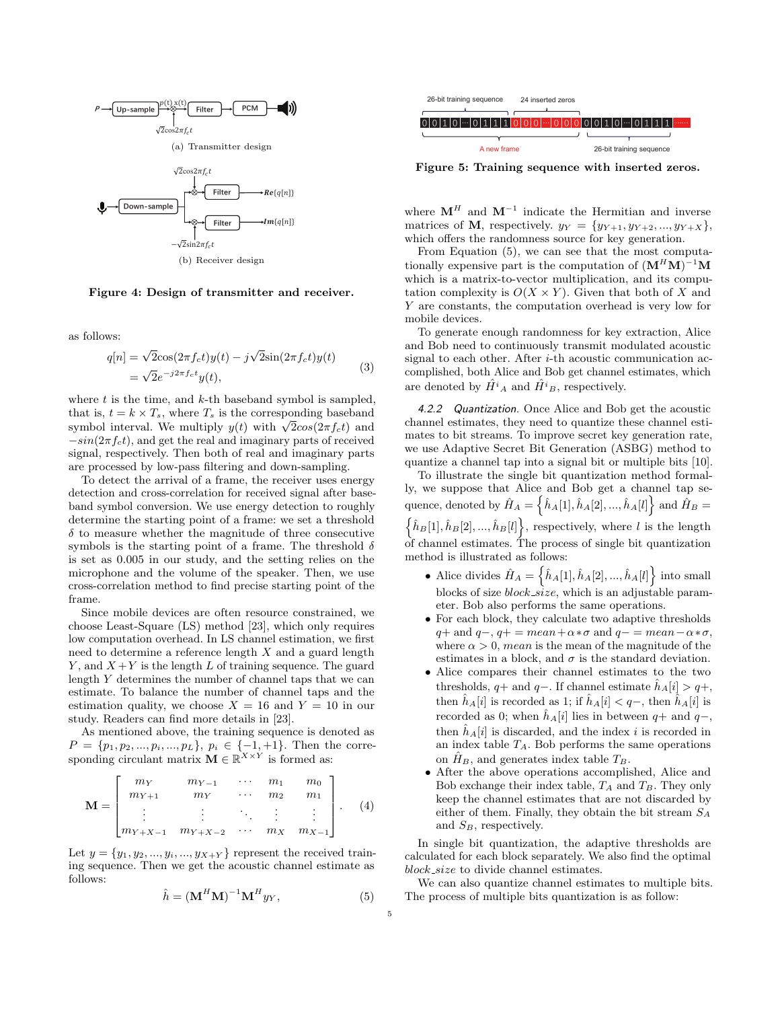

Figure 4: Design of transmitter and receiver.

as follows:

$$
q[n] = \sqrt{2}\cos(2\pi f_c t)y(t) - j\sqrt{2}\sin(2\pi f_c t)y(t)
$$
  
= 
$$
\sqrt{2}e^{-j2\pi f_c t}y(t),
$$
 (3)

where  $t$  is the time, and  $k$ -th baseband symbol is sampled, that is,  $t = k \times T_s$ , where  $T_s$  is the corresponding baseband that is,  $t = k \times I_s$ , where  $I_s$  is the corresponding baseband<br>symbol interval. We multiply  $y(t)$  with  $\sqrt{2}cos(2\pi f_c t)$  and  $-sin(2\pi f_c t)$ , and get the real and imaginary parts of received signal, respectively. Then both of real and imaginary parts are processed by low-pass filtering and down-sampling.

To detect the arrival of a frame, the receiver uses energy detection and cross-correlation for received signal after baseband symbol conversion. We use energy detection to roughly determine the starting point of a frame: we set a threshold  $\delta$  to measure whether the magnitude of three consecutive symbols is the starting point of a frame. The threshold  $\delta$ is set as 0.005 in our study, and the setting relies on the microphone and the volume of the speaker. Then, we use cross-correlation method to find precise starting point of the frame.

Since mobile devices are often resource constrained, we choose Least-Square (LS) method [\[23\]](#page-9-18), which only requires low computation overhead. In LS channel estimation, we first need to determine a reference length  $X$  and a guard length Y, and  $X + Y$  is the length L of training sequence. The guard length  $Y$  determines the number of channel taps that we can estimate. To balance the number of channel taps and the estimation quality, we choose  $X = 16$  and  $Y = 10$  in our study. Readers can find more details in [\[23\]](#page-9-18).

As mentioned above, the training sequence is denoted as  $P = \{p_1, p_2, ..., p_i, ..., p_L\}, p_i \in \{-1, +1\}.$  Then the corresponding circulant matrix  $\mathbf{M} \in \mathbb{R}^{X \times Y}$  is formed as:

$$
\mathbf{M} = \begin{bmatrix} m_{Y} & m_{Y-1} & \cdots & m_{1} & m_{0} \\ m_{Y+1} & m_{Y} & \cdots & m_{2} & m_{1} \\ \vdots & \vdots & \ddots & \vdots & \vdots \\ m_{Y+X-1} & m_{Y+X-2} & \cdots & m_{X} & m_{X-1} \end{bmatrix} .
$$
 (4)

Let  $y = \{y_1, y_2, ..., y_i, ..., y_{X+Y}\}\)$  represent the received training sequence. Then we get the acoustic channel estimate as follows:

$$
\hat{h} = (\mathbf{M}^H \mathbf{M})^{-1} \mathbf{M}^H y_Y, \tag{5}
$$



Figure 5: Training sequence with inserted zeros.

where  $\mathbf{M}^H$  and  $\mathbf{M}^{-1}$  indicate the Hermitian and inverse matrices of M, respectively.  $y_Y = \{y_{Y+1}, y_{Y+2}, ..., y_{Y+X}\},\$ which offers the randomness source for key generation.

From Equation (5), we can see that the most computationally expensive part is the computation of  $(M^H M)^{-1} M$ which is a matrix-to-vector multiplication, and its computation complexity is  $O(X \times Y)$ . Given that both of X and  $Y$  are constants, the computation overhead is very low for mobile devices.

To generate enough randomness for key extraction, Alice and Bob need to continuously transmit modulated acoustic signal to each other. After  $i$ -th acoustic communication accomplished, both Alice and Bob get channel estimates, which are denoted by  $\hat{H}^i{}_A$  and  $\hat{H}^i{}_B$ , respectively.

4.2.2 Quantization. Once Alice and Bob get the acoustic channel estimates, they need to quantize these channel estimates to bit streams. To improve secret key generation rate, we use Adaptive Secret Bit Generation (ASBG) method to quantize a channel tap into a signal bit or multiple bits [\[10\]](#page-9-12).

To illustrate the single bit quantization method formally, we suppose that Alice and Bob get a channel tap sequence, denoted by  $\hat{H}_A = \left\{ \hat{h}_A[1], \hat{h}_A[2], ..., \hat{h}_A[l] \right\}$  and  $\hat{H}_B =$  $\{\hat{h}_B[1], \hat{h}_B[2], ..., \hat{h}_B[l]\}\$ , respectively, where l is the length of channel estimates. The process of single bit quantization method is illustrated as follows:

- Alice divides  $\hat{H}_A = \left\{ \hat{h}_A[1], \hat{h}_A[2], ..., \hat{h}_A[l] \right\}$  into small blocks of size  $block\_size$ , which is an adjustable parameter. Bob also performs the same operations.
- ∙ For each block, they calculate two adaptive thresholds  $q+$  and  $q-, q+=$  mean +  $\alpha * \sigma$  and  $q-$  = mean -  $\alpha * \sigma$ , where  $\alpha > 0$ , *mean* is the mean of the magnitude of the estimates in a block, and  $\sigma$  is the standard deviation.
- **COMMEMBER (EXCEPTED AND THE CONSUMER CONSUMER TRIP)**<br>  $\frac{1}{\sqrt{2}}$   $\frac{1}{\sqrt{2}}$   $\frac{1}{\sqrt{2}}$   $\frac{1}{\sqrt{2}}$   $\frac{1}{\sqrt{2}}$   $\frac{1}{\sqrt{2}}$   $\frac{1}{\sqrt{2}}$   $\frac{1}{\sqrt{2}}$   $\frac{1}{\sqrt{2}}$   $\frac{1}{\sqrt{2}}$   $\frac{1}{\sqrt{2}}$   $\frac{1}{\sqrt{2}}$   $\frac{1}{$ ∙ Alice compares their channel estimates to the two thresholds, q+ and q-. If channel estimate  $\hat{h}_A[i] > q+$ , then  $\hat{h}_A[i]$  is recorded as 1; if  $\hat{h}_A[i] < q-$ , then  $\hat{h}_A[i]$  is recorded as 0; when  $\hat{h}_A[i]$  lies in between  $q+$  and  $q-$ , then  $\hat{h}_A[i]$  is discarded, and the index *i* is recorded in an index table  $T_A$ . Bob performs the same operations on  $\hat{H}_B$ , and generates index table  $T_B$ .
	- ∙ After the above operations accomplished, Alice and Bob exchange their index table,  $T_A$  and  $T_B$ . They only keep the channel estimates that are not discarded by either of them. Finally, they obtain the bit stream  $S_A$ and  $S_B$ , respectively.

In single bit quantization, the adaptive thresholds are calculated for each block separately. We also find the optimal  $block\_size$  to divide channel estimates.

We can also quantize channel estimates to multiple bits. The process of multiple bits quantization is as follow: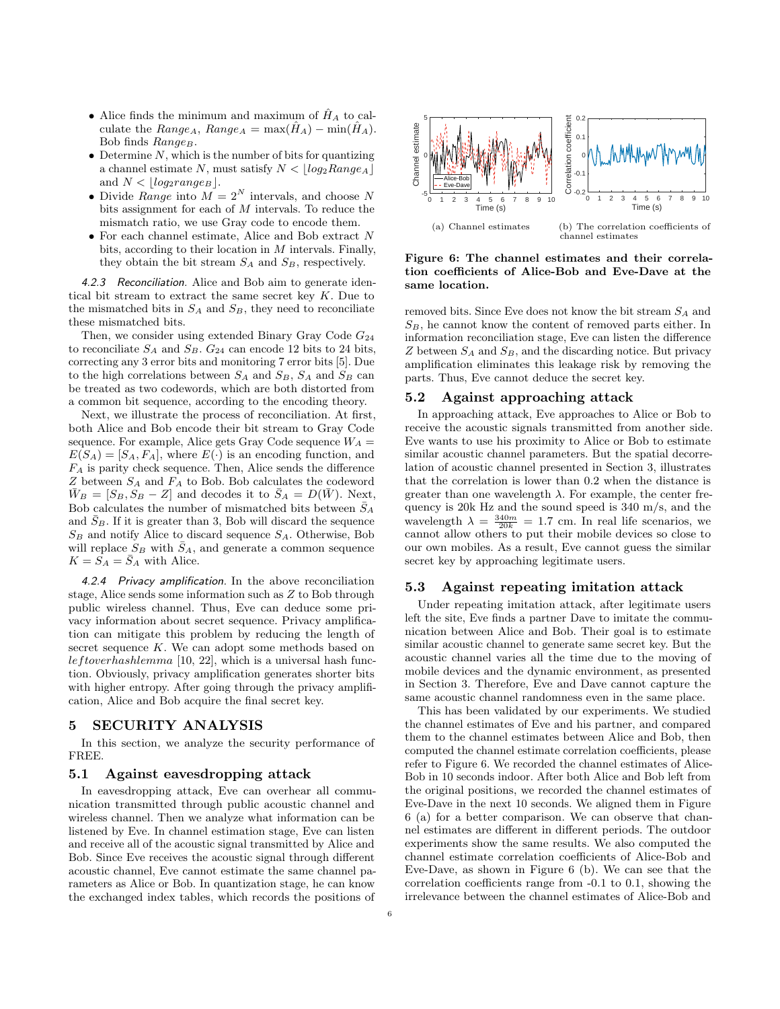- $\bullet$  Alice finds the minimum and maximum of  $\hat{H}_A$  to calculate the  $Range_A$ ,  $Range_A = max(\hat{H}_A) - min(\hat{H}_A)$ . Bob finds  $Range_B$ .
- Determine  $N$ , which is the number of bits for quantizing a channel estimate N, must satisfy  $N < |log_2 Range_A|$ and  $N < |log_2range_B|$ .
- $\bullet$  Divide  $Range$  into  $\tilde{M=2^N}$  intervals, and choose  $N$ bits assignment for each of  $M$  intervals. To reduce the mismatch ratio, we use Gray code to encode them.
- ∙ For each channel estimate, Alice and Bob extract bits, according to their location in  $M$  intervals. Finally, they obtain the bit stream  $S_A$  and  $S_B$ , respectively.

4.2.3 Reconciliation. Alice and Bob aim to generate identical bit stream to extract the same secret key  $K$ . Due to the mismatched bits in  $S_A$  and  $S_B$ , they need to reconciliate these mismatched bits.

Then, we consider using extended Binary Gray Code  $G_{24}$ to reconciliate  $S_A$  and  $S_B$ .  $G_{24}$  can encode 12 bits to 24 bits, correcting any 3 error bits and monitoring 7 error bits [\[5\]](#page-9-20). Due to the high correlations between  $S_A$  and  $S_B$ ,  $S_A$  and  $S_B$  can be treated as two codewords, which are both distorted from a common bit sequence, according to the encoding theory.

Next, we illustrate the process of reconciliation. At first, both Alice and Bob encode their bit stream to Gray Code sequence. For example, Alice gets Gray Code sequence  $\mathcal{W}_{A}$  =  $E(S_A) = [S_A, F_A],$  where  $E(\cdot)$  is an encoding function, and  $F_A$  is parity check sequence. Then, Alice sends the difference  $Z$  between  $S_A$  and  $F_A$  to Bob. Bob calculates the codeword  $\bar{W}_B = [S_B, S_B - Z]$  and decodes it to  $\bar{S}_A = D(\bar{W})$ . Next, Bob calculates the number of mismatched bits between  $\bar{S}_A$ and  $S_B$ . If it is greater than 3, Bob will discard the sequence  $S_B$  and notify Alice to discard sequence  $S_A$ . Otherwise, Bob will replace  $S_B$  with  $\bar{S}_A$ , and generate a common sequence  $K = S_A = \overline{S}_A$  with Alice.

4.2.4 Privacy amplification. In the above reconciliation stage, Alice sends some information such as  $Z$  to Bob through public wireless channel. Thus, Eve can deduce some privacy information about secret sequence. Privacy amplification can mitigate this problem by reducing the length of secret sequence  $K$ . We can adopt some methods based on  $left overhash lemma$  [\[10,](#page-9-12) [22\]](#page-9-8), which is a universal hash function. Obviously, privacy amplification generates shorter bits with higher entropy. After going through the privacy amplification, Alice and Bob acquire the final secret key.

## 5 SECURITY ANALYSIS

In this section, we analyze the security performance of FREE.

#### 5.1 Against eavesdropping attack

In eavesdropping attack, Eve can overhear all communication transmitted through public acoustic channel and wireless channel. Then we analyze what information can be listened by Eve. In channel estimation stage, Eve can listen and receive all of the acoustic signal transmitted by Alice and Bob. Since Eve receives the acoustic signal through different acoustic channel, Eve cannot estimate the same channel parameters as Alice or Bob. In quantization stage, he can know the exchanged index tables, which records the positions of



Figure 6: The channel estimates and their correlation coefficients of Alice-Bob and Eve-Dave at the same location.

removed bits. Since Eve does not know the bit stream  $S_A$  and  $S_B$ , he cannot know the content of removed parts either. In information reconciliation stage, Eve can listen the difference  $Z$  between  $S_A$  and  $S_B$ , and the discarding notice. But privacy amplification eliminates this leakage risk by removing the parts. Thus, Eve cannot deduce the secret key.

#### 5.2 Against approaching attack

In approaching attack, Eve approaches to Alice or Bob to receive the acoustic signals transmitted from another side. Eve wants to use his proximity to Alice or Bob to estimate similar acoustic channel parameters. But the spatial decorrelation of acoustic channel presented in Section 3, illustrates that the correlation is lower than 0.2 when the distance is greater than one wavelength  $\lambda$ . For example, the center frequency is 20k Hz and the sound speed is 340 m/s, and the wavelength  $\lambda = \frac{340m}{20k} = 1.7$  cm. In real life scenarios, we cannot allow others to put their mobile devices so close to our own mobiles. As a result, Eve cannot guess the similar secret key by approaching legitimate users.

#### 5.3 Against repeating imitation attack

Under repeating imitation attack, after legitimate users left the site, Eve finds a partner Dave to imitate the communication between Alice and Bob. Their goal is to estimate similar acoustic channel to generate same secret key. But the acoustic channel varies all the time due to the moving of mobile devices and the dynamic environment, as presented in Section 3. Therefore, Eve and Dave cannot capture the same acoustic channel randomness even in the same place.

This has been validated by our experiments. We studied the channel estimates of Eve and his partner, and compared them to the channel estimates between Alice and Bob, then computed the channel estimate correlation coefficients, please refer to Figure 6. We recorded the channel estimates of Alice-Bob in 10 seconds indoor. After both Alice and Bob left from the original positions, we recorded the channel estimates of Eve-Dave in the next 10 seconds. We aligned them in Figure 6 (a) for a better comparison. We can observe that channel estimates are different in different periods. The outdoor experiments show the same results. We also computed the channel estimate correlation coefficients of Alice-Bob and Eve-Dave, as shown in Figure 6 (b). We can see that the correlation coefficients range from -0.1 to 0.1, showing the irrelevance between the channel estimates of Alice-Bob and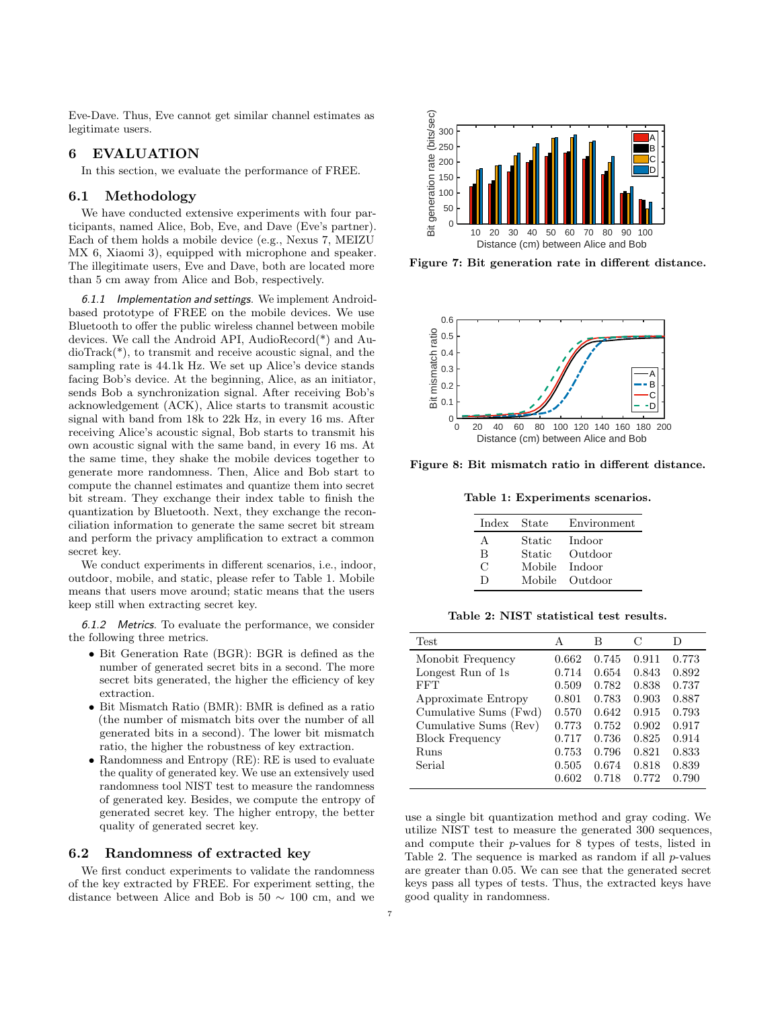Eve-Dave. Thus, Eve cannot get similar channel estimates as legitimate users.

## 6 EVALUATION

In this section, we evaluate the performance of FREE.

## 6.1 Methodology

We have conducted extensive experiments with four participants, named Alice, Bob, Eve, and Dave (Eve's partner). Each of them holds a mobile device (e.g., Nexus 7, MEIZU MX 6, Xiaomi 3), equipped with microphone and speaker. The illegitimate users, Eve and Dave, both are located more than 5 cm away from Alice and Bob, respectively.

6.1.1 Implementation and settings. We implement Androidbased prototype of FREE on the mobile devices. We use Bluetooth to offer the public wireless channel between mobile devices. We call the Android API, AudioRecord(\*) and AudioTrack(\*), to transmit and receive acoustic signal, and the sampling rate is 44.1k Hz. We set up Alice's device stands facing Bob's device. At the beginning, Alice, as an initiator, sends Bob a synchronization signal. After receiving Bob's acknowledgement (ACK), Alice starts to transmit acoustic signal with band from 18k to 22k Hz, in every 16 ms. After receiving Alice's acoustic signal, Bob starts to transmit his own acoustic signal with the same band, in every 16 ms. At the same time, they shake the mobile devices together to generate more randomness. Then, Alice and Bob start to compute the channel estimates and quantize them into secret bit stream. They exchange their index table to finish the quantization by Bluetooth. Next, they exchange the reconciliation information to generate the same secret bit stream and perform the privacy amplification to extract a common secret key.

We conduct experiments in different scenarios, i.e., indoor, outdoor, mobile, and static, please refer to Table 1. Mobile means that users move around; static means that the users keep still when extracting secret key.

6.1.2 Metrics. To evaluate the performance, we consider the following three metrics.

- ∙ Bit Generation Rate (BGR): BGR is defined as the number of generated secret bits in a second. The more secret bits generated, the higher the efficiency of key extraction.
- ∙ Bit Mismatch Ratio (BMR): BMR is defined as a ratio (the number of mismatch bits over the number of all generated bits in a second). The lower bit mismatch ratio, the higher the robustness of key extraction.
- ∙ Randomness and Entropy (RE): RE is used to evaluate the quality of generated key. We use an extensively used randomness tool NIST test to measure the randomness of generated key. Besides, we compute the entropy of generated secret key. The higher entropy, the better quality of generated secret key.

## 6.2 Randomness of extracted key

We first conduct experiments to validate the randomness of the key extracted by FREE. For experiment setting, the distance between Alice and Bob is  $50 \sim 100$  cm, and we



Figure 7: Bit generation rate in different distance.



Figure 8: Bit mismatch ratio in different distance.

Table 1: Experiments scenarios.

| Index State |                         | Environment    |
|-------------|-------------------------|----------------|
| A           | $\operatorname{Static}$ | Indoor         |
| В           | Static                  | Outdoor        |
| C           | Mobile Indoor           |                |
| $\Box$      |                         | Mobile Outdoor |

Table 2: NIST statistical test results.

| <b>Test</b>            | А     | В     | C     | D     |
|------------------------|-------|-------|-------|-------|
| Monobit Frequency      | 0.662 | 0.745 | 0.911 | 0.773 |
| Longest Run of 1s      | 0.714 | 0.654 | 0.843 | 0.892 |
| FFT                    | 0.509 | 0.782 | 0.838 | 0.737 |
| Approximate Entropy    | 0.801 | 0.783 | 0.903 | 0.887 |
| Cumulative Sums (Fwd)  | 0.570 | 0.642 | 0.915 | 0.793 |
| Cumulative Sums (Rev)  | 0.773 | 0.752 | 0.902 | 0.917 |
| <b>Block Frequency</b> | 0.717 | 0.736 | 0.825 | 0.914 |
| Runs                   | 0.753 | 0.796 | 0.821 | 0.833 |
| Serial                 | 0.505 | 0.674 | 0.818 | 0.839 |
|                        | 0.602 | 0.718 | 0.772 | 0.790 |

use a single bit quantization method and gray coding. We utilize NIST test to measure the generated 300 sequences, and compute their  $p$ -values for 8 types of tests, listed in Table 2. The sequence is marked as random if all  $p$ -values are greater than 0.05. We can see that the generated secret keys pass all types of tests. Thus, the extracted keys have good quality in randomness.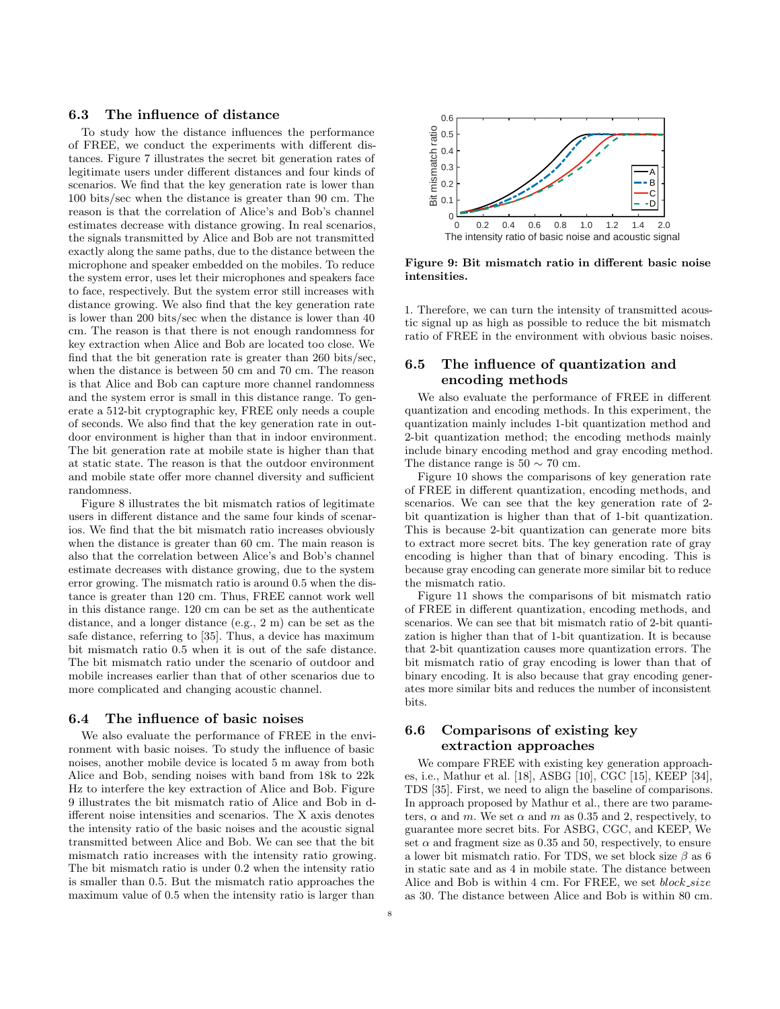## 6.3 The influence of distance

To study how the distance influences the performance of FREE, we conduct the experiments with different distances. Figure 7 illustrates the secret bit generation rates of legitimate users under different distances and four kinds of scenarios. We find that the key generation rate is lower than 100 bits/sec when the distance is greater than 90 cm. The reason is that the correlation of Alice's and Bob's channel estimates decrease with distance growing. In real scenarios, the signals transmitted by Alice and Bob are not transmitted exactly along the same paths, due to the distance between the microphone and speaker embedded on the mobiles. To reduce the system error, uses let their microphones and speakers face to face, respectively. But the system error still increases with distance growing. We also find that the key generation rate is lower than 200 bits/sec when the distance is lower than 40 cm. The reason is that there is not enough randomness for key extraction when Alice and Bob are located too close. We find that the bit generation rate is greater than 260 bits/sec, when the distance is between 50 cm and 70 cm. The reason is that Alice and Bob can capture more channel randomness and the system error is small in this distance range. To generate a 512-bit cryptographic key, FREE only needs a couple of seconds. We also find that the key generation rate in outdoor environment is higher than that in indoor environment. The bit generation rate at mobile state is higher than that at static state. The reason is that the outdoor environment and mobile state offer more channel diversity and sufficient randomness.

Figure 8 illustrates the bit mismatch ratios of legitimate users in different distance and the same four kinds of scenarios. We find that the bit mismatch ratio increases obviously when the distance is greater than 60 cm. The main reason is also that the correlation between Alice's and Bob's channel estimate decreases with distance growing, due to the system error growing. The mismatch ratio is around 0.5 when the distance is greater than 120 cm. Thus, FREE cannot work well in this distance range. 120 cm can be set as the authenticate distance, and a longer distance (e.g., 2 m) can be set as the safe distance, referring to [\[35\]](#page-9-11). Thus, a device has maximum bit mismatch ratio 0.5 when it is out of the safe distance. The bit mismatch ratio under the scenario of outdoor and mobile increases earlier than that of other scenarios due to more complicated and changing acoustic channel.

#### 6.4 The influence of basic noises

We also evaluate the performance of FREE in the environment with basic noises. To study the influence of basic noises, another mobile device is located 5 m away from both Alice and Bob, sending noises with band from 18k to 22k Hz to interfere the key extraction of Alice and Bob. Figure 9 illustrates the bit mismatch ratio of Alice and Bob in different noise intensities and scenarios. The X axis denotes the intensity ratio of the basic noises and the acoustic signal transmitted between Alice and Bob. We can see that the bit mismatch ratio increases with the intensity ratio growing. The bit mismatch ratio is under 0.2 when the intensity ratio is smaller than 0.5. But the mismatch ratio approaches the maximum value of 0.5 when the intensity ratio is larger than



Figure 9: Bit mismatch ratio in different basic noise intensities.

1. Therefore, we can turn the intensity of transmitted acoustic signal up as high as possible to reduce the bit mismatch ratio of FREE in the environment with obvious basic noises.

# 6.5 The influence of quantization and encoding methods

We also evaluate the performance of FREE in different quantization and encoding methods. In this experiment, the quantization mainly includes 1-bit quantization method and 2-bit quantization method; the encoding methods mainly include binary encoding method and gray encoding method. The distance range is  $50 \sim 70$  cm.

Figure 10 shows the comparisons of key generation rate of FREE in different quantization, encoding methods, and scenarios. We can see that the key generation rate of 2 bit quantization is higher than that of 1-bit quantization. This is because 2-bit quantization can generate more bits to extract more secret bits. The key generation rate of gray encoding is higher than that of binary encoding. This is because gray encoding can generate more similar bit to reduce the mismatch ratio.

Figure 11 shows the comparisons of bit mismatch ratio of FREE in different quantization, encoding methods, and scenarios. We can see that bit mismatch ratio of 2-bit quantization is higher than that of 1-bit quantization. It is because that 2-bit quantization causes more quantization errors. The bit mismatch ratio of gray encoding is lower than that of binary encoding. It is also because that gray encoding generates more similar bits and reduces the number of inconsistent bits.

# 6.6 Comparisons of existing key extraction approaches

We compare FREE with existing key generation approaches, i.e., Mathur et al. [\[18\]](#page-9-4), ASBG [\[10\]](#page-9-12), CGC [\[15\]](#page-9-13), KEEP [\[34\]](#page-9-10), TDS [\[35\]](#page-9-11). First, we need to align the baseline of comparisons. In approach proposed by Mathur et al., there are two parameters,  $\alpha$  and m. We set  $\alpha$  and m as 0.35 and 2, respectively, to guarantee more secret bits. For ASBG, CGC, and KEEP, We set  $\alpha$  and fragment size as 0.35 and 50, respectively, to ensure a lower bit mismatch ratio. For TDS, we set block size  $\beta$  as 6 in static sate and as 4 in mobile state. The distance between Alice and Bob is within 4 cm. For FREE, we set block\_size as 30. The distance between Alice and Bob is within 80 cm.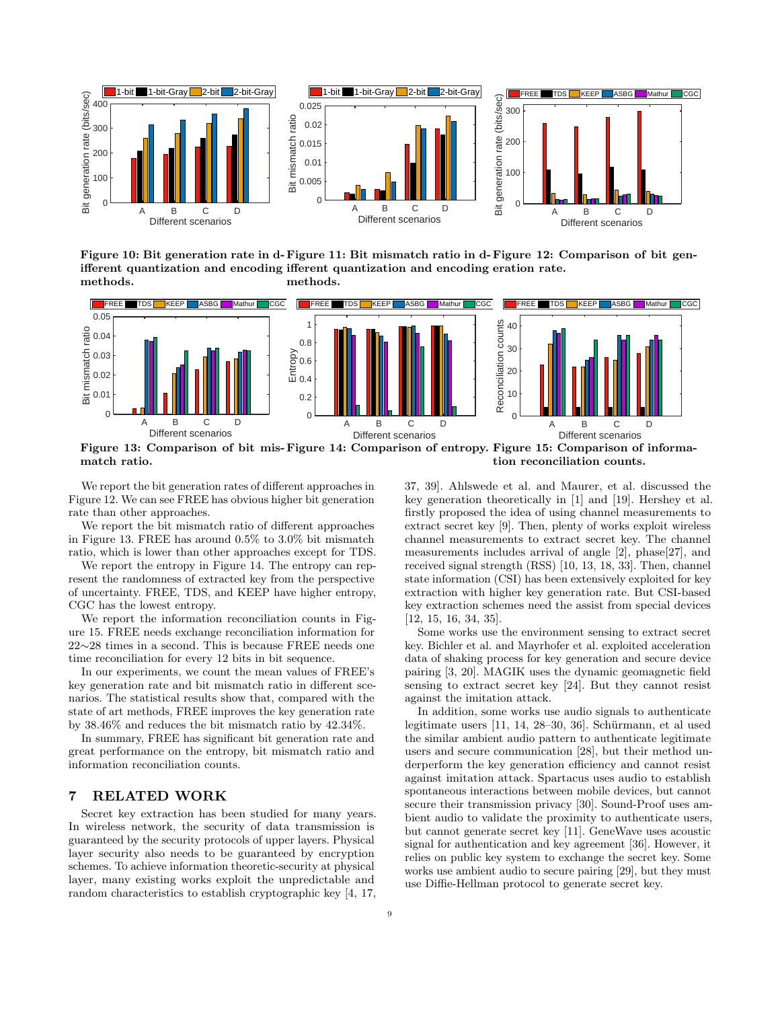

Figure 10: Bit generation rate in d- Figure 11: Bit mismatch ratio in d- Figure 12: Comparison of bit genifferent quantization and encoding ifferent quantization and encoding eration rate. methods. methods.



Figure 13: Comparison of bit mis-Figure 14: Comparison of entropy. Figure 15: Comparison of informamatch ratio. tion reconciliation counts.

We report the bit generation rates of different approaches in Figure 12. We can see FREE has obvious higher bit generation rate than other approaches.

We report the bit mismatch ratio of different approaches in Figure 13. FREE has around 0.5% to 3.0% bit mismatch ratio, which is lower than other approaches except for TDS.

We report the entropy in Figure 14. The entropy can represent the randomness of extracted key from the perspective of uncertainty. FREE, TDS, and KEEP have higher entropy, CGC has the lowest entropy.

We report the information reconciliation counts in Figure 15. FREE needs exchange reconciliation information for 22∼28 times in a second. This is because FREE needs one time reconciliation for every 12 bits in bit sequence.

In our experiments, we count the mean values of FREE's key generation rate and bit mismatch ratio in different scenarios. The statistical results show that, compared with the state of art methods, FREE improves the key generation rate by 38.46% and reduces the bit mismatch ratio by 42.34%.

In summary, FREE has significant bit generation rate and great performance on the entropy, bit mismatch ratio and information reconciliation counts.

## 7 RELATED WORK

Secret key extraction has been studied for many years. In wireless network, the security of data transmission is guaranteed by the security protocols of upper layers. Physical layer security also needs to be guaranteed by encryption schemes. To achieve information theoretic-security at physical layer, many existing works exploit the unpredictable and random characteristics to establish cryptographic key [\[4,](#page-9-21) [17,](#page-9-22) [37,](#page-9-23) [39\]](#page-9-24). Ahlswede et al. and Maurer, et al. discussed the key generation theoretically in [\[1\]](#page-9-25) and [\[19\]](#page-9-26). Hershey et al. firstly proposed the idea of using channel measurements to extract secret key [\[9\]](#page-9-27). Then, plenty of works exploit wireless channel measurements to extract secret key. The channel measurements includes arrival of angle [\[2\]](#page-9-28), phase[\[27\]](#page-9-29), and received signal strength (RSS) [\[10,](#page-9-12) [13,](#page-9-30) [18,](#page-9-4) [33\]](#page-9-31). Then, channel state information (CSI) has been extensively exploited for key extraction with higher key generation rate. But CSI-based key extraction schemes need the assist from special devices [\[12,](#page-9-32) [15,](#page-9-13) [16,](#page-9-33) [34,](#page-9-10) [35\]](#page-9-11).

Some works use the environment sensing to extract secret key. Bichler et al. and Mayrhofer et al. exploited acceleration data of shaking process for key generation and secure device pairing [\[3,](#page-9-6) [20\]](#page-9-34). MAGIK uses the dynamic geomagnetic field sensing to extract secret key [\[24\]](#page-9-7). But they cannot resist against the imitation attack.

In addition, some works use audio signals to authenticate legitimate users  $[11, 14, 28-30, 36]$  $[11, 14, 28-30, 36]$  $[11, 14, 28-30, 36]$  $[11, 14, 28-30, 36]$  $[11, 14, 28-30, 36]$  $[11, 14, 28-30, 36]$  $[11, 14, 28-30, 36]$ . Schürmann, et al used the similar ambient audio pattern to authenticate legitimate users and secure communication [\[28\]](#page-9-37), but their method underperform the key generation efficiency and cannot resist against imitation attack. Spartacus uses audio to establish spontaneous interactions between mobile devices, but cannot secure their transmission privacy [\[30\]](#page-9-38). Sound-Proof uses ambient audio to validate the proximity to authenticate users, but cannot generate secret key [\[11\]](#page-9-35). GeneWave uses acoustic signal for authentication and key agreement [\[36\]](#page-9-1). However, it relies on public key system to exchange the secret key. Some works use ambient audio to secure pairing [\[29\]](#page-9-0), but they must use Diffie-Hellman protocol to generate secret key.